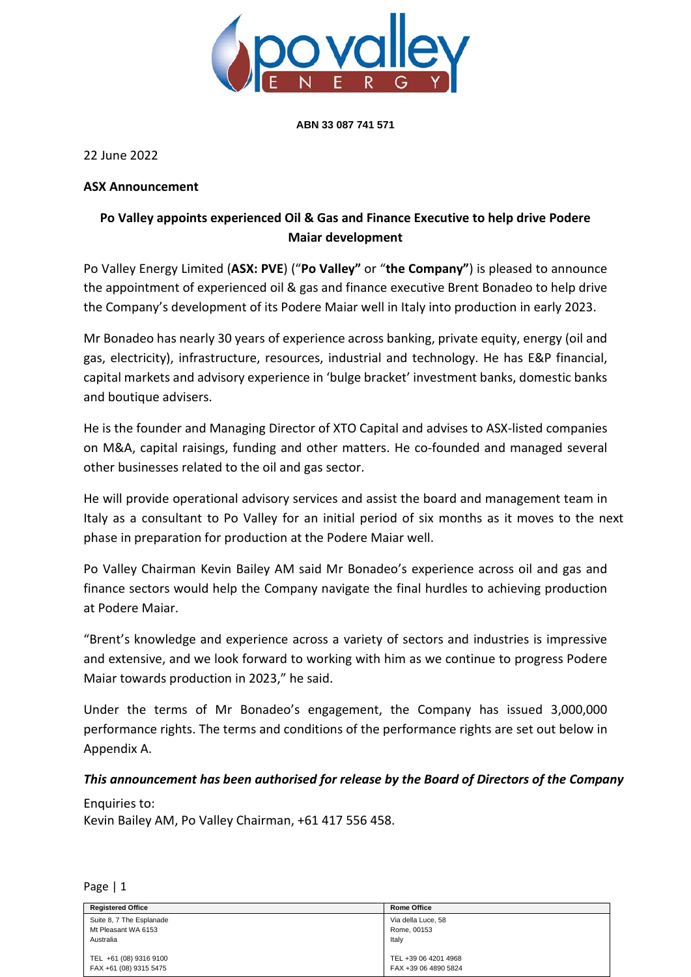

**ABN 33 087 741 571**

22 June 2022

## **ASX Announcement**

## **Po Valley appoints experienced Oil & Gas and Finance Executive to help drive Podere Maiar development**

Po Valley Energy Limited (**ASX: PVE**) ("**Po Valley"** or "**the Company"**) is pleased to announce the appointment of experienced oil & gas and finance executive Brent Bonadeo to help drive the Company's development of its Podere Maiar well in Italy into production in early 2023.

Mr Bonadeo has nearly 30 years of experience across banking, private equity, energy (oil and gas, electricity), infrastructure, resources, industrial and technology. He has E&P financial, capital markets and advisory experience in 'bulge bracket' investment banks, domestic banks and boutique advisers.

He is the founder and Managing Director of XTO Capital and advises to ASX-listed companies on M&A, capital raisings, funding and other matters. He co-founded and managed several other businesses related to the oil and gas sector.

He will provide operational advisory services and assist the board and management team in Italy as a consultant to Po Valley for an initial period of six months as it moves to the next phase in preparation for production at the Podere Maiar well.

Po Valley Chairman Kevin Bailey AM said Mr Bonadeo's experience across oil and gas and finance sectors would help the Company navigate the final hurdles to achieving production at Podere Maiar.

"Brent's knowledge and experience across a variety of sectors and industries is impressive and extensive, and we look forward to working with him as we continue to progress Podere Maiar towards production in 2023," he said.

Under the terms of Mr Bonadeo's engagement, the Company has issued 3,000,000 performance rights. The terms and conditions of the performance rights are set out below in Appendix A.

## *This announcement has been authorised for release by the Board of Directors of the Company*

Enquiries to: Kevin Bailey AM, Po Valley Chairman, +61 417 556 458.

Page | 1

| <b>Registered Office</b> | <b>Rome Office</b>   |
|--------------------------|----------------------|
| Suite 8, 7 The Esplanade | Via della Luce, 58   |
| Mt Pleasant WA 6153      | Rome, 00153          |
| Australia                | Italy                |
|                          |                      |
| TEL +61 (08) 9316 9100   | TEL +39 06 4201 4968 |
| FAX +61 (08) 9315 5475   | FAX +39 06 4890 5824 |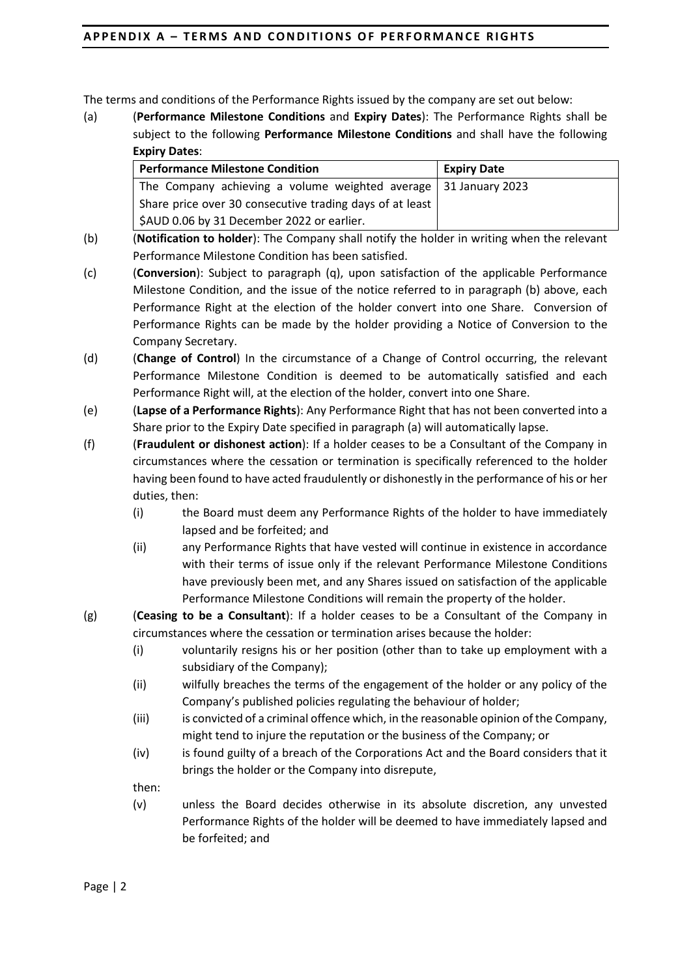The terms and conditions of the Performance Rights issued by the company are set out below:

(a) (**Performance Milestone Conditions** and **Expiry Dates**): The Performance Rights shall be subject to the following **Performance Milestone Conditions** and shall have the following **Expiry Dates**:

| <b>Performance Milestone Condition</b>                                  | <b>Expiry Date</b> |
|-------------------------------------------------------------------------|--------------------|
| The Company achieving a volume weighted average $\vert$ 31 January 2023 |                    |
| Share price over 30 consecutive trading days of at least                |                    |
| \$AUD 0.06 by 31 December 2022 or earlier.                              |                    |

- (b) (**Notification to holder**): The Company shall notify the holder in writing when the relevant Performance Milestone Condition has been satisfied.
- (c) (**Conversion**): Subject to paragraph [\(q\),](#page-3-0) upon satisfaction of the applicable Performance Milestone Condition, and the issue of the notice referred to in paragraph (b) above, each Performance Right at the election of the holder convert into one Share. Conversion of Performance Rights can be made by the holder providing a Notice of Conversion to the Company Secretary.
- (d) (**Change of Control**) In the circumstance of a Change of Control occurring, the relevant Performance Milestone Condition is deemed to be automatically satisfied and each Performance Right will, at the election of the holder, convert into one Share.
- (e) (**Lapse of a Performance Rights**): Any Performance Right that has not been converted into a Share prior to the Expiry Date specified in paragraph (a) will automatically lapse.
- (f) (**Fraudulent or dishonest action**): If a holder ceases to be a Consultant of the Company in circumstances where the cessation or termination is specifically referenced to the holder having been found to have acted fraudulently or dishonestly in the performance of his or her duties, then:
	- (i) the Board must deem any Performance Rights of the holder to have immediately lapsed and be forfeited; and
	- (ii) any Performance Rights that have vested will continue in existence in accordance with their terms of issue only if the relevant Performance Milestone Conditions have previously been met, and any Shares issued on satisfaction of the applicable Performance Milestone Conditions will remain the property of the holder.
- (g) (**Ceasing to be a Consultant**): If a holder ceases to be a Consultant of the Company in circumstances where the cessation or termination arises because the holder:
	- (i) voluntarily resigns his or her position (other than to take up employment with a subsidiary of the Company);
	- (ii) wilfully breaches the terms of the engagement of the holder or any policy of the Company's published policies regulating the behaviour of holder;
	- (iii) is convicted of a criminal offence which, in the reasonable opinion of the Company, might tend to injure the reputation or the business of the Company; or
	- (iv) is found guilty of a breach of the Corporations Act and the Board considers that it brings the holder or the Company into disrepute,

then:

(v) unless the Board decides otherwise in its absolute discretion, any unvested Performance Rights of the holder will be deemed to have immediately lapsed and be forfeited; and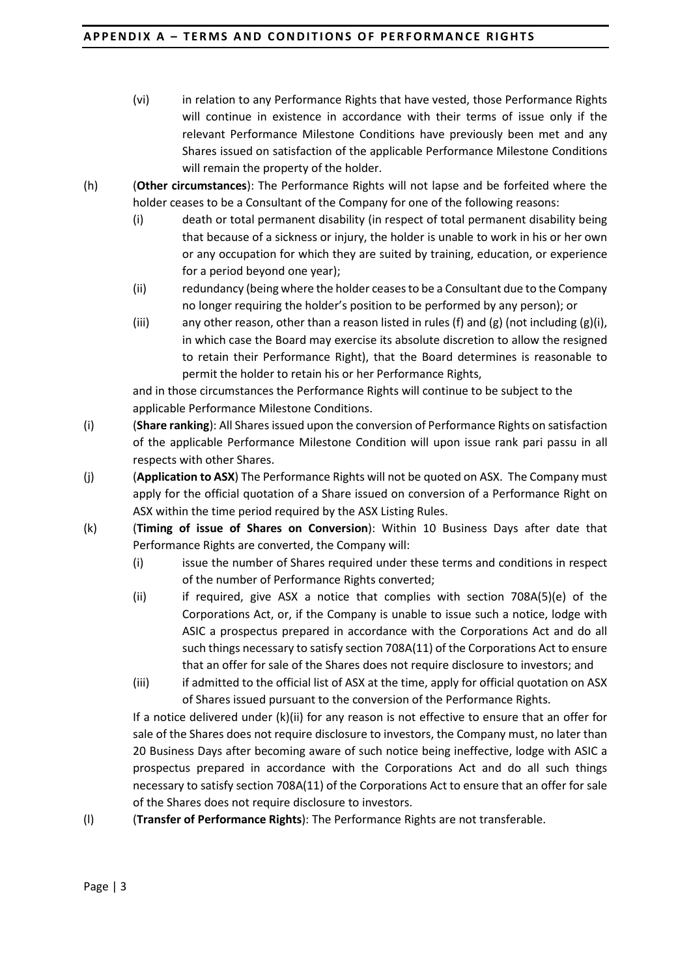- (vi) in relation to any Performance Rights that have vested, those Performance Rights will continue in existence in accordance with their terms of issue only if the relevant Performance Milestone Conditions have previously been met and any Shares issued on satisfaction of the applicable Performance Milestone Conditions will remain the property of the holder.
- (h) (**Other circumstances**): The Performance Rights will not lapse and be forfeited where the holder ceases to be a Consultant of the Company for one of the following reasons:
	- (i) death or total permanent disability (in respect of total permanent disability being that because of a sickness or injury, the holder is unable to work in his or her own or any occupation for which they are suited by training, education, or experience for a period beyond one year);
	- (ii) redundancy (being where the holder ceases to be a Consultant due to the Company no longer requiring the holder's position to be performed by any person); or
	- (iii) any other reason, other than a reason listed in rules (f) and (g) (not including (g)(i), in which case the Board may exercise its absolute discretion to allow the resigned to retain their Performance Right), that the Board determines is reasonable to permit the holder to retain his or her Performance Rights,

and in those circumstances the Performance Rights will continue to be subject to the applicable Performance Milestone Conditions.

- (i) (**Share ranking**): All Shares issued upon the conversion of Performance Rights on satisfaction of the applicable Performance Milestone Condition will upon issue rank pari passu in all respects with other Shares.
- (j) (**Application to ASX**) The Performance Rights will not be quoted on ASX. The Company must apply for the official quotation of a Share issued on conversion of a Performance Right on ASX within the time period required by the ASX Listing Rules.
- (k) (**Timing of issue of Shares on Conversion**): Within 10 Business Days after date that Performance Rights are converted, the Company will:
	- (i) issue the number of Shares required under these terms and conditions in respect of the number of Performance Rights converted;
	- (ii) if required, give ASX a notice that complies with section 708A(5)(e) of the Corporations Act, or, if the Company is unable to issue such a notice, lodge with ASIC a prospectus prepared in accordance with the Corporations Act and do all such things necessary to satisfy section 708A(11) of the Corporations Act to ensure that an offer for sale of the Shares does not require disclosure to investors; and
	- (iii) if admitted to the official list of ASX at the time, apply for official quotation on ASX of Shares issued pursuant to the conversion of the Performance Rights.

If a notice delivered under (k)(ii) for any reason is not effective to ensure that an offer for sale of the Shares does not require disclosure to investors, the Company must, no later than 20 Business Days after becoming aware of such notice being ineffective, lodge with ASIC a prospectus prepared in accordance with the Corporations Act and do all such things necessary to satisfy section 708A(11) of the Corporations Act to ensure that an offer for sale of the Shares does not require disclosure to investors.

(l) (**Transfer of Performance Rights**): The Performance Rights are not transferable.